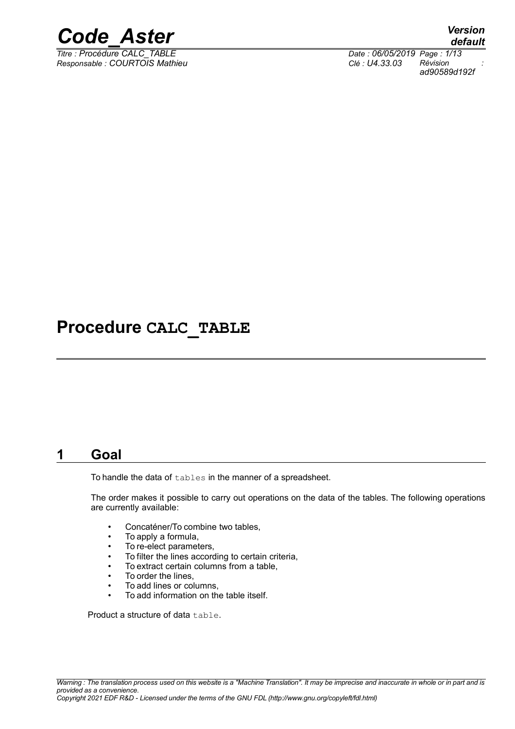

*Titre : Procédure CALC\_TABLE Date : 06/05/2019 Page : 1/13 Responsable : COURTOIS Mathieu Clé : U4.33.03 Révision :*

*default*

*ad90589d192f*

### **Procedure CALC\_TABLE**

### **1 Goal**

<span id="page-0-0"></span>To handle the data of tables in the manner of a spreadsheet.

The order makes it possible to carry out operations on the data of the tables. The following operations are currently available:

- Concaténer/To combine two tables,
- To apply a formula,
- To re-elect parameters,
- To filter the lines according to certain criteria,
- To extract certain columns from a table,
- To order the lines,
- To add lines or columns,
- To add information on the table itself.

Product a structure of data table.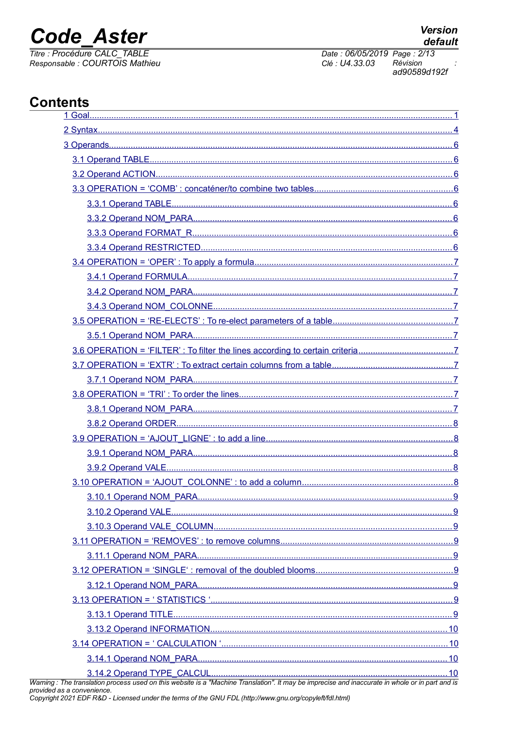## **Code Aster**

Titre : Procédure CALC\_TABLE<br>Responsable : COURTOIS Mathieu

### **Contents**

| 9 |  |
|---|--|
|   |  |
|   |  |
|   |  |
|   |  |
|   |  |
|   |  |
|   |  |
|   |  |
|   |  |
|   |  |
|   |  |
|   |  |

Warning: The translation process used on this website is a "Machine Translation". It may be imprecise and inaccurate in whole or in part and is provided as a convenience.<br>provided as a convenience.<br>Copyright 2021 EDF R&D -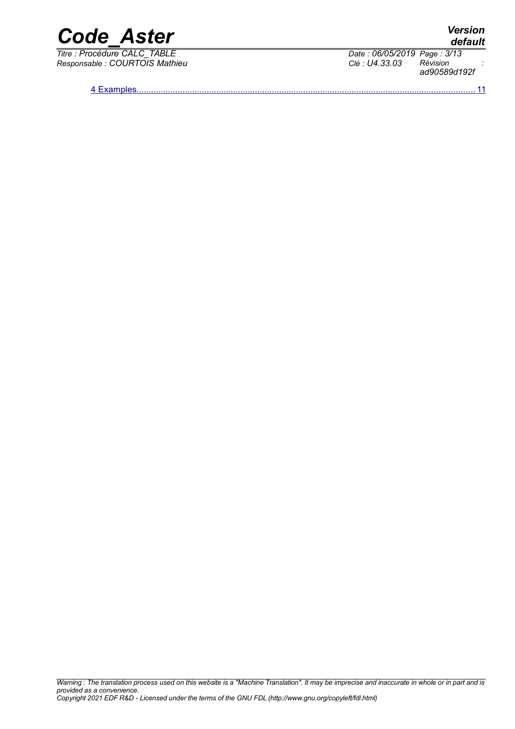

*Titre : Procédure CALC\_TABLE Date : 06/05/2019 Page : 3/13*

*Warning : The translation process used on this website is a "Machine Translation". It may be imprecise and inaccurate in whole or in part and is provided as a convenience. Copyright 2021 EDF R&D - Licensed under the terms of the GNU FDL (http://www.gnu.org/copyleft/fdl.html)*

*Responsable : COURTOIS Mathieu Clé : U4.33.03 Révision : ad90589d192f*

 [4 Examples ............................................................................................................................................11](#page-10-0)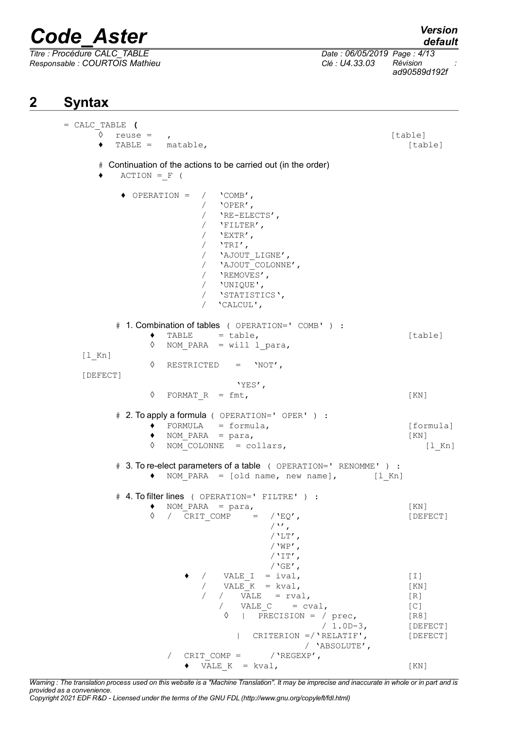*Titre : Procédure CALC\_TABLE Date : 06/05/2019 Page : 4/13 Responsable : COURTOIS Mathieu Clé : U4.33.03 Révision :*

*ad90589d192f*

### **2 Syntax**

<span id="page-3-0"></span>= CALC\_TABLE **(**  $\sqrt[3]{}$  reuse = , ◆ TABLE = matable, interest in the function of table in the function of the function of the function of the function of the function of the function of the function of the function of the function of the function of the f # Continuation of the actions to be carried out (in the order)  $\triangle$  ACTION = F ( ♦ OPERATION = / 'COMB', / 'OPER', / 'RE-ELECTS', / 'FILTER',  $/$  'EXTR',  $/$  'TRI', / 'AJOUT\_LIGNE', / 'AJOUT\_COLONNE', / 'REMOVES', / 'UNIQUE', / 'STATISTICS', / 'CALCUL', # 1. Combination of tables ( OPERATION=' COMB' ) :  $\bullet$  TABLE = table, [table] ◊ NOM\_PARA = will l\_para, [l\_Kn] ◊ RESTRICTED = 'NOT', [DEFECT] 'YES',  $\Diamond$  FORMAT R = fmt, [KN] # 2. To apply a formula ( OPERATION=' OPER' ) :  $\bullet$  FORMULA = formula,  $\bullet$  [formula]  $\bullet$  NOM PARA = para, [KN]  $\Diamond$  NOM COLONNE = collars,  $[1 Kn]$ # 3. To re-elect parameters of a table ( OPERATION=' RENOMME' ) :  $\bullet$  NOM PARA = [old name, new name], [l Kn] # 4. To filter lines ( OPERATION=' FILTRE' ) :  $\uparrow$  NOM\_PARA = para, [KN]<br>  $\lozenge$  / CRIT COMP = /'EO', [DEF  $\overline{P}$  / CRIT COMP =  $\overline{P}$  / 'EQ',  $/$ '',  $/$ 'LT', / $'W$ P',  $/$ 'IT',  $/$ 'GE',  $\angle$  VALE I = ival,  $\begin{bmatrix} 1 \end{bmatrix}$ /  $VALE<sup>-</sup>K = kval,$  [KN]  $\begin{array}{ccccc} / & / & \overline{\text{VALE}} & = \text{rval}, & & & & \text{[R]} \\ / & \text{VALE C} & = \text{cval}, & & & & \text{[C]} \end{array}$ VALE  $C = cval$ , [C]  $\Diamond$  | PRECISION = / prec, [R8] / 1.0D-3, [DEFECT] | CRITERION =/'RELATIF', [DEFECT] / 'ABSOLUTE', / CRIT COMP =  $/$  'REGEXP',  $\bullet$  VALE K = kval, [KN]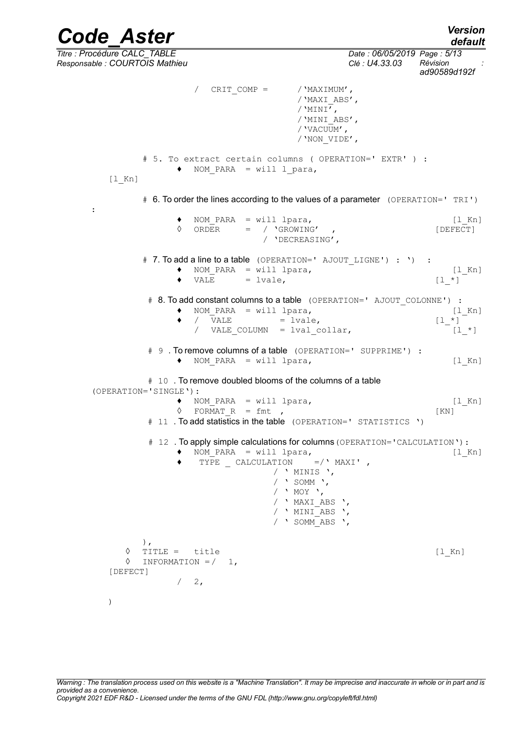*Code\_Aster Version default Titre : Procédure CALC\_TABLE Date : 06/05/2019 Page : 5/13 Responsable : COURTOIS Mathieu Clé : U4.33.03 Révision : ad90589d192f* CRIT COMP =  $/$  'MAXIMUM', /'MAXI\_ABS', / $'$ MINI $',$ /'MINI\_ABS', /'VACUUM', /'NON\_VIDE', # 5. To extract certain columns ( OPERATION=' EXTR' ) :  $\bullet$  NOM PARA = will l para, [1 Kn] # 6. To order the lines according to the values of a parameter (OPERATION=' TRI') : ♦ NOM\_PARA = will lpara, [l\_Kn] ◊ ORDER = / 'GROWING' , [DEFECT] / 'DECREASING', # 7. To add a line to a table (OPERATION=' AJOUT LIGNE') : ') :  $\uparrow$  NOM\_PARA = will lpara,  $[1_Kn]$ <br>  $\uparrow$  VALE = lvale,  $[1 *]$  $\triangleleft$  VALE = lvale, # 8. To add constant columns to a table (OPERATION=' AJOUT COLONNE') :  $\begin{array}{ll}\n\bullet & \text{NOM\_PARA} = \text{will lpara}, \\
\bullet & / \text{VALE} = \text{lvale}.\n\end{array}$ [1\_Kn]  $\bullet$  / VALE = lvale,  $[1 *]$ / VALE COLUMN = lval\_collar,  $[1_*]$ # 9 . To remove columns of a table (OPERATION=' SUPPRIME') : ♦ NOM\_PARA = will lpara, [l\_Kn] # 10 . To remove doubled blooms of the columns of a table (OPERATION='SINGLE'): NOM PARA = will lpara, [l Kn]  $\Diamond$  FORMAT R = fmt , [KN] # 11 . To add statistics in the table (OPERATION=' STATISTICS ') # 12. To apply simple calculations for columns (OPERATION='CALCULATION'):  $\bullet$  NOM PARA = will lpara,  $[1_Kn]$ TYPE CALCULATION =/' MAXI', / ' MINIS ', / ' SOMM ', / ' MOY ', / ' MAXI\_ABS ', /  $'$  MINI<sup> $-A$ BS</sup> ', / ' SOMM\_ABS ', ), ◊ TITLE = title [l\_Kn]

)

[DEFECT]

 $\Diamond$  INFORMATION =  $/$  1,

 $/ 2,$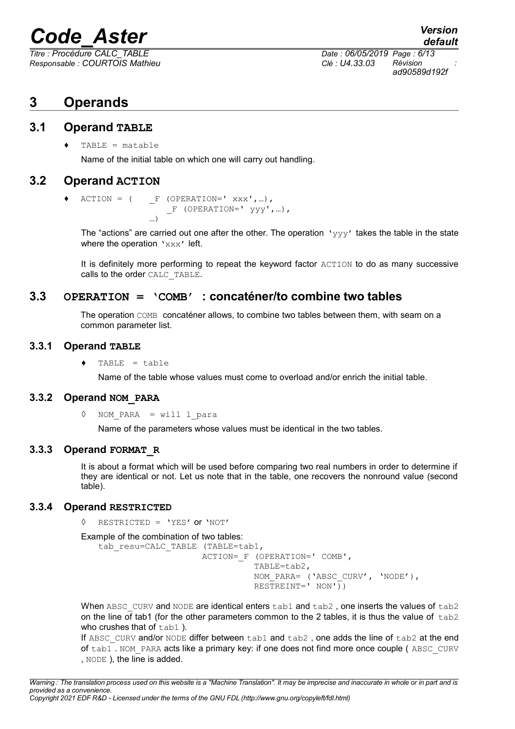*Responsable : COURTOIS Mathieu Clé : U4.33.03 Révision :*

*default Titre : Procédure CALC\_TABLE Date : 06/05/2019 Page : 6/13 ad90589d192f*

### <span id="page-5-7"></span>**3 Operands**

#### **3.1 Operand TABLE**

<span id="page-5-6"></span> $TABLE = matchle$ 

Name of the initial table on which one will carry out handling.

#### **3.2 Operand ACTION**

<span id="page-5-5"></span> $\triangleleft$  ACTION = (  $\angle$  F (OPERATION=' xxx',...),  $F$  (OPERATION='  $yyy', ...$ ),  $\sim$ 

The "actions" are carried out one after the other. The operation  $\vee \vee \vee \vee'$  takes the table in the state where the operation 'xxx' left.

It is definitely more performing to repeat the keyword factor ACTION to do as many successive calls to the order CALC\_TABLE.

#### **3.3 OPERATION = 'COMB' : concaténer/to combine two tables**

<span id="page-5-4"></span>The operation COMB concaténer allows, to combine two tables between them, with seam on a common parameter list.

#### **3.3.1 Operand TABLE**

<span id="page-5-3"></span> $TABLE = table$ 

Name of the table whose values must come to overload and/or enrich the initial table.

#### **3.3.2 Operand NOM\_PARA**

<span id="page-5-2"></span>◊ NOM\_PARA = will l\_para

Name of the parameters whose values must be identical in the two tables.

#### **3.3.3 Operand FORMAT\_R**

<span id="page-5-1"></span>It is about a format which will be used before comparing two real numbers in order to determine if they are identical or not. Let us note that in the table, one recovers the nonround value (second table).

#### **3.3.4 Operand RESTRICTED**

<span id="page-5-0"></span>◊ RESTRICTED = 'YES' or 'NOT'

```
Example of the combination of two tables:
```

```
tab_resu=CALC_TABLE (TABLE=tab1,
                      ACTION=_F (OPERATION=' COMB',
                                TABLE=tab2, 
                                NOM_PARA= ('ABSC_CURV', 'NODE'),
                               RESTREINT = ' NON')
```
When ABSC\_CURV and NODE are identical enters tab1 and tab2, one inserts the values of tab2 on the line of tab1 (for the other parameters common to the 2 tables, it is thus the value of  $\pm$ ab2 who crushes that of tab1).

If ABSC CURV and/or NODE differ between  $t$ ab1 and  $t$ ab2, one adds the line of  $t$ ab2 at the end of tab1. NOM\_PARA acts like a primary key: if one does not find more once couple ( ABSC\_CURV , NODE ), the line is added.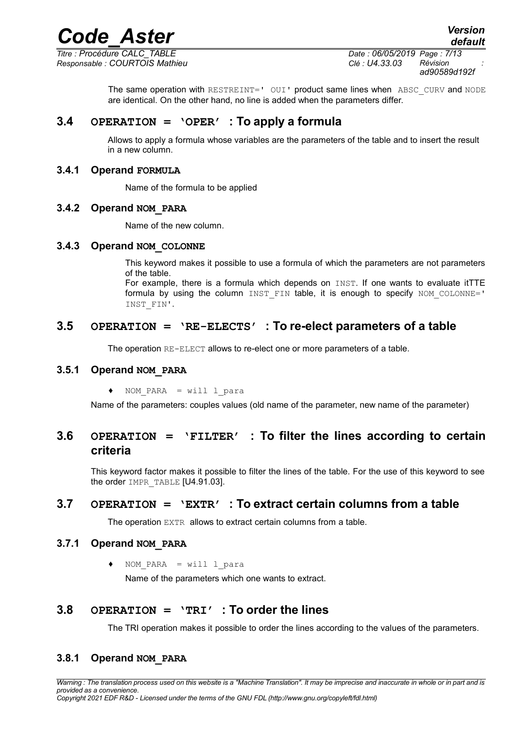*Responsable : COURTOIS Mathieu Clé : U4.33.03 Révision :*

*Titre : Procédure CALC\_TABLE Date : 06/05/2019 Page : 7/13 ad90589d192f*

*default*

The same operation with RESTREINT=' OUI' product same lines when ABSC CURV and NODE are identical. On the other hand, no line is added when the parameters differ.

#### **3.4 OPERATION = 'OPER' : To apply a formula**

<span id="page-6-10"></span><span id="page-6-9"></span>Allows to apply a formula whose variables are the parameters of the table and to insert the result in a new column.

#### **3.4.1 Operand FORMULA**

Name of the formula to be applied

#### <span id="page-6-8"></span>**3.4.2 Operand NOM\_PARA**

Name of the new column.

#### <span id="page-6-7"></span>**3.4.3 Operand NOM\_COLONNE**

This keyword makes it possible to use a formula of which the parameters are not parameters of the table.

For example, there is a formula which depends on INST. If one wants to evaluate itTTE formula by using the column  $INT$  FIN table, it is enough to specify  $NOM$  COLONNE=' INST\_FIN'.

#### **3.5 OPERATION = 'RE-ELECTS' : To re-elect parameters of a table**

<span id="page-6-6"></span><span id="page-6-5"></span>The operation RE-ELECT allows to re-elect one or more parameters of a table.

#### **3.5.1 Operand NOM\_PARA**

 $NOM$  PARA = will l para

<span id="page-6-4"></span>Name of the parameters: couples values (old name of the parameter, new name of the parameter)

#### **3.6 OPERATION = 'FILTER' : To filter the lines according to certain criteria**

This keyword factor makes it possible to filter the lines of the table. For the use of this keyword to see the order IMPR\_TABLE [U4.91.03].

#### **3.7 OPERATION = 'EXTR' : To extract certain columns from a table**

<span id="page-6-3"></span><span id="page-6-2"></span>The operation EXTR allows to extract certain columns from a table.

#### **3.7.1 Operand NOM\_PARA**

 $NOM$  PARA = will l para

Name of the parameters which one wants to extract.

#### **3.8 OPERATION = 'TRI' : To order the lines**

<span id="page-6-1"></span><span id="page-6-0"></span>The TRI operation makes it possible to order the lines according to the values of the parameters.

#### **3.8.1 Operand NOM\_PARA**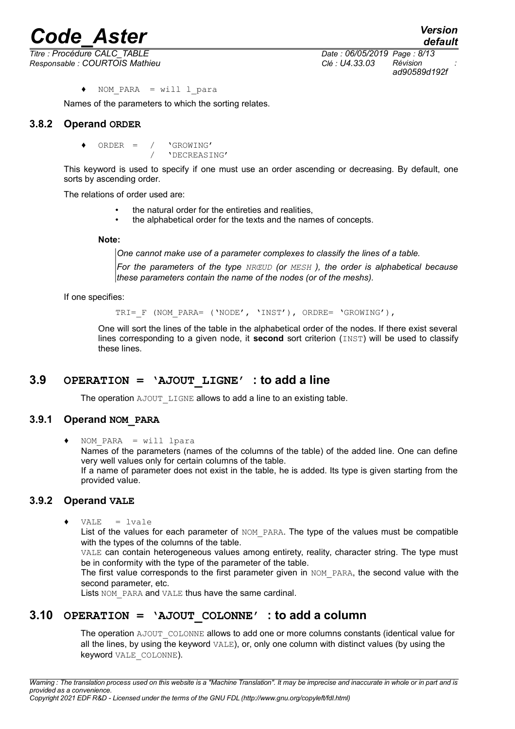*Titre : Procédure CALC\_TABLE Date : 06/05/2019 Page : 8/13 Responsable : COURTOIS Mathieu Clé : U4.33.03 Révision :*

*default ad90589d192f*

♦ NOM\_PARA = will l\_para

<span id="page-7-4"></span>Names of the parameters to which the sorting relates.

#### **3.8.2 Operand ORDER**

 $ORDER = / \nVGROWING'$ / 'DECREASING'

This keyword is used to specify if one must use an order ascending or decreasing. By default, one sorts by ascending order.

The relations of order used are:

- the natural order for the entireties and realities.
- the alphabetical order for the texts and the names of concepts.

**Note:**

*One cannot make use of a parameter complexes to classify the lines of a table.*

*For the parameters of the type NRŒUD (or MESH ), the order is alphabetical because these parameters contain the name of the nodes (or of the meshs).*

If one specifies:

TRI= F (NOM PARA= ('NODE', 'INST'), ORDRE= 'GROWING'),

One will sort the lines of the table in the alphabetical order of the nodes. If there exist several lines corresponding to a given node, it **second** sort criterion (INST) will be used to classify these lines.

#### **3.9 OPERATION = 'AJOUT\_LIGNE' : to add a line**

<span id="page-7-3"></span>The operation AJOUT LIGNE allows to add a line to an existing table.

#### **3.9.1 Operand NOM\_PARA**

<span id="page-7-2"></span> $NOM$  PARA = will lpara Names of the parameters (names of the columns of the table) of the added line. One can define very well values only for certain columns of the table. If a name of parameter does not exist in the table, he is added. Its type is given starting from the provided value.

#### **3.9.2 Operand VALE**

<span id="page-7-1"></span> $\triangleleft$  VALE = lvale

List of the values for each parameter of NOM PARA. The type of the values must be compatible with the types of the columns of the table.

VALE can contain heterogeneous values among entirety, reality, character string. The type must be in conformity with the type of the parameter of the table.

The first value corresponds to the first parameter given in NOM PARA, the second value with the second parameter, etc.

<span id="page-7-0"></span>Lists NOM PARA and VALE thus have the same cardinal.

### **3.10 OPERATION = 'AJOUT\_COLONNE' : to add a column**

The operation AJOUT COLONNE allows to add one or more columns constants (identical value for all the lines, by using the keyword VALE), or, only one column with distinct values (by using the keyword VALE\_COLONNE).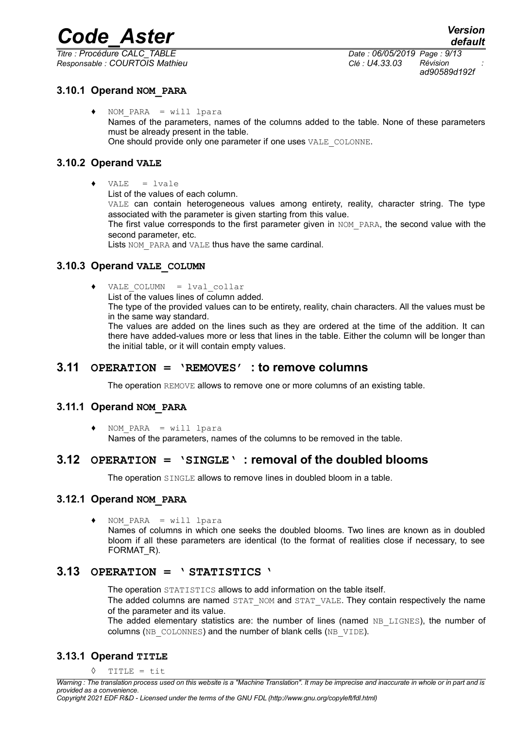*Responsable : COURTOIS Mathieu Clé : U4.33.03 Révision :*

*Titre : Procédure CALC\_TABLE Date : 06/05/2019 Page : 9/13 ad90589d192f*

#### **3.10.1 Operand NOM\_PARA**

<span id="page-8-8"></span> $NOM$  PARA = will lpara Names of the parameters, names of the columns added to the table. None of these parameters must be already present in the table. One should provide only one parameter if one uses VALE\_COLONNE.

#### **3.10.2 Operand VALE**

- <span id="page-8-7"></span> $\triangleleft$  VALE = lvale
	- List of the values of each column.

VALE can contain heterogeneous values among entirety, reality, character string. The type associated with the parameter is given starting from this value.

The first value corresponds to the first parameter given in NOM PARA, the second value with the second parameter, etc.

Lists NOM PARA and VALE thus have the same cardinal.

#### **3.10.3 Operand VALE\_COLUMN**

<span id="page-8-6"></span>♦ VALE\_COLUMN = lval\_collar

List of the values lines of column added.

The type of the provided values can to be entirety, reality, chain characters. All the values must be in the same way standard.

The values are added on the lines such as they are ordered at the time of the addition. It can there have added-values more or less that lines in the table. Either the column will be longer than the initial table, or it will contain empty values.

#### **3.11 OPERATION = 'REMOVES' : to remove columns**

<span id="page-8-5"></span>The operation REMOVE allows to remove one or more columns of an existing table.

#### **3.11.1 Operand NOM\_PARA**

<span id="page-8-4"></span>♦ NOM\_PARA = will lpara

<span id="page-8-3"></span>Names of the parameters, names of the columns to be removed in the table.

#### **3.12 OPERATION = 'SINGLE' : removal of the doubled blooms**

The operation SINGLE allows to remove lines in doubled bloom in a table.

#### **3.12.1 Operand NOM\_PARA**

<span id="page-8-2"></span>♦ NOM\_PARA = will lpara

Names of columns in which one seeks the doubled blooms. Two lines are known as in doubled bloom if all these parameters are identical (to the format of realities close if necessary, to see FORMAT<sub>R</sub>).

#### **3.13 OPERATION = ' STATISTICS '**

<span id="page-8-1"></span>The operation STATISTICS allows to add information on the table itself.

The added columns are named STAT\_NOM and STAT\_VALE. They contain respectively the name of the parameter and its value.

The added elementary statistics are: the number of lines (named NB LIGNES), the number of columns (NB\_COLONNES) and the number of blank cells (NB\_VIDE).

#### **3.13.1 Operand TITLE**

<span id="page-8-0"></span> $\Diamond$  TITLE = tit

*Copyright 2021 EDF R&D - Licensed under the terms of the GNU FDL (http://www.gnu.org/copyleft/fdl.html)*

*Warning : The translation process used on this website is a "Machine Translation". It may be imprecise and inaccurate in whole or in part and is provided as a convenience.*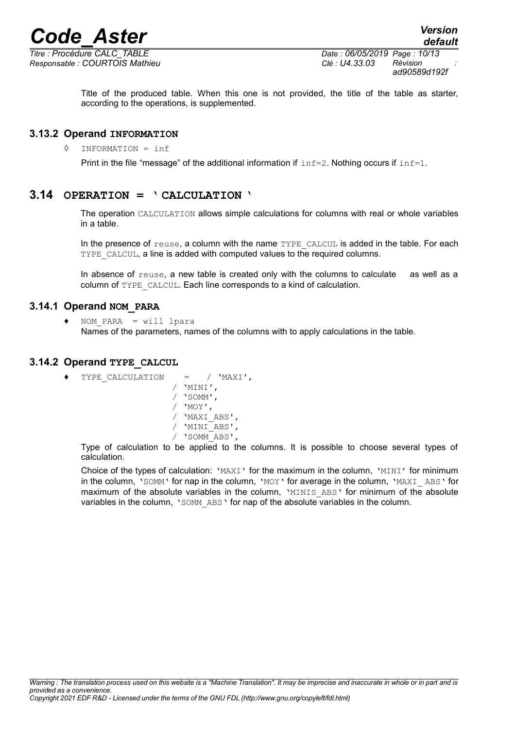

*Responsable : COURTOIS Mathieu Clé : U4.33.03 Révision :*

*Titre : Procédure CALC\_TABLE Date : 06/05/2019 Page : 10/13 ad90589d192f*

> Title of the produced table. When this one is not provided, the title of the table as starter, according to the operations, is supplemented.

#### **3.13.2 Operand INFORMATION**

<span id="page-9-3"></span>◊ INFORMATION = inf

Print in the file "message" of the additional information if  $\text{inf}=2$ . Nothing occurs if  $\text{inf}=1$ .

#### **3.14 OPERATION = ' CALCULATION '**

<span id="page-9-2"></span>The operation CALCULATION allows simple calculations for columns with real or whole variables in a table.

In the presence of reuse, a column with the name TYPE CALCUL is added in the table. For each TYPE CALCUL, a line is added with computed values to the required columns.

In absence of reuse, a new table is created only with the columns to calculate as well as a column of TYPE\_CALCUL. Each line corresponds to a kind of calculation.

#### **3.14.1 Operand NOM\_PARA**

<span id="page-9-1"></span> $NOM$  PARA = will lpara Names of the parameters, names of the columns with to apply calculations in the table.

#### **3.14.2 Operand TYPE\_CALCUL**

- <span id="page-9-0"></span>♦ TYPE\_CALCULATION = / 'MAXI',
	- / 'MINI', / 'SOMM', / 'MOY', / 'MAXI\_ABS', / 'MINI\_ABS', / 'SOMM\_ABS',

Type of calculation to be applied to the columns. It is possible to choose several types of calculation.

Choice of the types of calculation: 'MAXI' for the maximum in the column, 'MINI' for minimum in the column, 'SOMM' for nap in the column, 'MOY' for average in the column, 'MAXI\_ABS' for maximum of the absolute variables in the column, 'MINIS ABS' for minimum of the absolute variables in the column, 'SOMM ABS' for nap of the absolute variables in the column.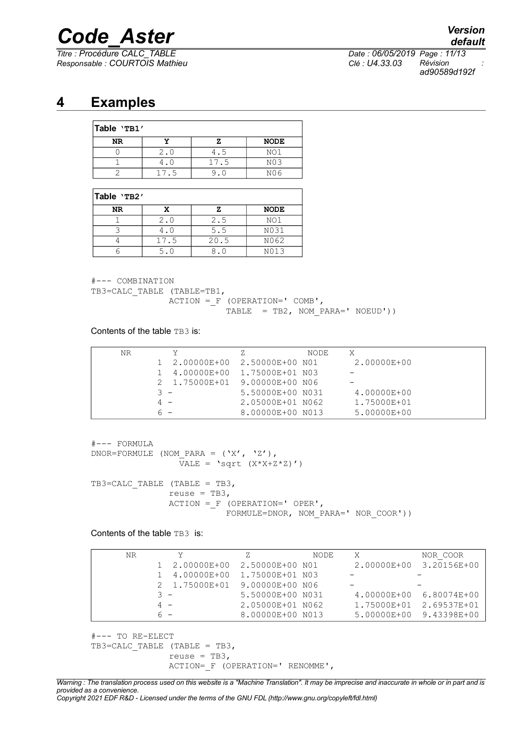*Titre : Procédure CALC\_TABLE Date : 06/05/2019 Page : 11/13 Responsable : COURTOIS Mathieu Clé : U4.33.03 Révision :*

*default*

*ad90589d192f*

### **4 Examples**

<span id="page-10-0"></span>

| Table 'TB1' |      |      |                  |  |
|-------------|------|------|------------------|--|
| NR          |      |      | <b>NODE</b>      |  |
|             | 2.0  | 4.5  | NO1              |  |
|             |      | 17.5 | N <sub>0</sub> 3 |  |
|             | 17.5 |      | N06              |  |

#### **Table 'TB2'**

| NR |      |      | <b>NODE</b> |
|----|------|------|-------------|
|    | 2.0  | 2.5  | NO1         |
|    |      | 5.5  | N031        |
|    | 17.5 | 20.5 | N062        |
|    | 5.0  |      | N013        |

#--- COMBINATION

TB3=CALC TABLE (TABLE=TB1,

 ACTION =\_F (OPERATION=' COMB', TABLE = TB2, NOM PARA='  $NOEUD')$ )

Contents of the table TB3 is:

| NR. | v.                            | Ζ.               | NODE | X           |
|-----|-------------------------------|------------------|------|-------------|
|     | 1 2.00000E+00 2.50000E+00 N01 |                  |      | 2.00000E+00 |
|     | 4.00000E+00  1.75000E+01  N03 |                  |      |             |
|     | 2 1.75000E+01 9.00000E+00 N06 |                  |      |             |
|     | $3 -$                         | 5.50000E+00 N031 |      | 4.00000E+00 |
|     | $4 -$                         | 2.05000E+01 N062 |      | 1.75000E+01 |
|     | $6 -$                         | 8.00000E+00 N013 |      | 5.00000E+00 |

```
#--- FORMULA
DNOR=FORMULE (NOM PARA = ('X', 'Z'),\overline{V}ALE = 'sqrt (X*X+Z*Z)')TB3=CALC TABLE (TABLE = TB3,
                reuse = TB3,
                 ACTION =_F (OPERATION=' OPER',
                            FORMULE=DNOR, NOM_PARA=' NOR_COOR'))
```
Contents of the table TB3 is:

| NR | Y                             | z                | NODE | X                       | NOR COOR |
|----|-------------------------------|------------------|------|-------------------------|----------|
|    | 1 2.00000E+00 2.50000E+00 N01 |                  |      | 2.00000E+00 3.20156E+00 |          |
|    | 1 4.00000E+00 1.75000E+01 N03 |                  |      |                         |          |
|    | 2 1.75000E+01 9.00000E+00 N06 |                  |      |                         |          |
|    | $3 -$                         | 5.50000E+00 N031 |      | 4.00000E+00 6.80074E+00 |          |
|    | $4 -$                         | 2.05000E+01 N062 |      | 1.75000E+01 2.69537E+01 |          |
|    | $6 -$                         | 8.00000E+00 N013 |      | 5.00000E+00 9.43398E+00 |          |

```
#--- TO RE-ELECT
TB3=CALC TABLE (TABLE = TB3,
               reuse = TB3,
                ACTION=_F (OPERATION=' RENOMME',
```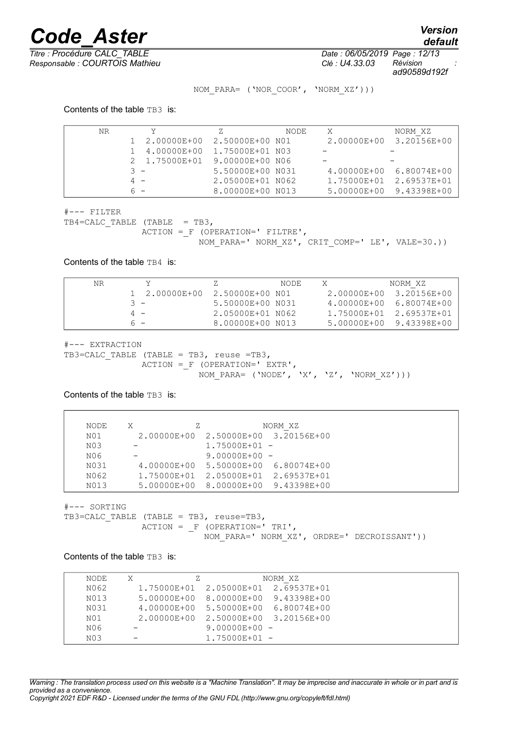*default*

*Titre : Procédure CALC\_TABLE Date : 06/05/2019 Page : 12/13 Responsable : COURTOIS Mathieu Clé : U4.33.03 Révision :*

*ad90589d192f*

NOM\_PARA= ('NOR\_COOR', 'NORM\_XZ')))

Contents of the table TB3 is:

| NR | Y                             |                  | NODE | X           | NORM XZ     |
|----|-------------------------------|------------------|------|-------------|-------------|
|    | 1 2.00000E+00 2.50000E+00 NO1 |                  |      | 2.00000E+00 | 3.20156E+00 |
|    | 4.00000E+00 1.75000E+01 N03   |                  |      |             |             |
|    | 2 1.75000E+01 9.00000E+00 N06 |                  |      |             |             |
|    | $3 -$                         | 5.50000E+00 N031 |      | 4.00000E+00 | 6.80074E+00 |
|    | $4 -$                         | 2.05000E+01 N062 |      | 1.75000E+01 | 2.69537E+01 |
|    | ี ค                           | 8.00000E+00 N013 |      | 5.00000E+00 | 9.43398E+00 |

#--- FILTER

TB4=CALC TABLE (TABLE = TB3,  $ACTION = F (OPERATION=' FILTRE',$ NOM\_PARA=' NORM\_XZ', CRIT\_COMP=' LE', VALE=30.))

Contents of the table TB4 is:

| NR |               |                  | NODE | NORM XZ                 |
|----|---------------|------------------|------|-------------------------|
|    | 1 2.00000E+00 | 2.50000E+00 NO1  |      | 2.00000E+00 3.20156E+00 |
|    | २ –           | 5.50000E+00 N031 |      | 4.00000E+00 6.80074E+00 |
|    | $4 -$         | 2.05000E+01 N062 |      | 1.75000E+01 2.69537E+01 |
|    | 6 -           | 8.00000E+00 N013 |      | 5.00000E+00 9.43398E+00 |

#--- EXTRACTION

```
TB3=CALC_TABLE (TABLE = TB3, reuse =TB3,
 ACTION =_F (OPERATION=' EXTR',
NOM\_PARA= ('NODE', 'X', 'Z', 'NORM\_XZ')))
```
Contents of the table TB3 is:

| NODE            | X<br>Z. |                                     | NORM XZ |
|-----------------|---------|-------------------------------------|---------|
| N <sub>01</sub> |         | 2.00000E+00 2.50000E+00 3.20156E+00 |         |
| N03             |         | $1.75000E + 01 -$                   |         |
| NO6             |         | $9.00000E + 00 -$                   |         |
| N031            |         | 4.00000E+00 5.50000E+00 6.80074E+00 |         |
| N062            |         | 1.75000E+01 2.05000E+01 2.69537E+01 |         |
| N013            |         | 5.00000E+00 8.00000E+00 9.43398E+00 |         |

#--- SORTING

TB3=CALC TABLE (TABLE = TB3, reuse=TB3,  $ACTION = F (OPERATION=' TRI',$ NOM PARA=' NORM XZ', ORDRE=' DECROISSANT'))

Contents of the table TB3 is:

| NODE             | X<br>z |                                     | NORM XZ |  |
|------------------|--------|-------------------------------------|---------|--|
| N062             |        | 1.75000E+01 2.05000E+01 2.69537E+01 |         |  |
| N013             |        | 5.00000E+00 8.00000E+00 9.43398E+00 |         |  |
| N031             |        | 4.00000E+00 5.50000E+00 6.80074E+00 |         |  |
| N <sub>01</sub>  |        | 2.00000E+00 2.50000E+00 3.20156E+00 |         |  |
| N06              |        | $9.00000E+00 -$                     |         |  |
| N <sub>0.3</sub> |        | $1.75000E+01 -$                     |         |  |